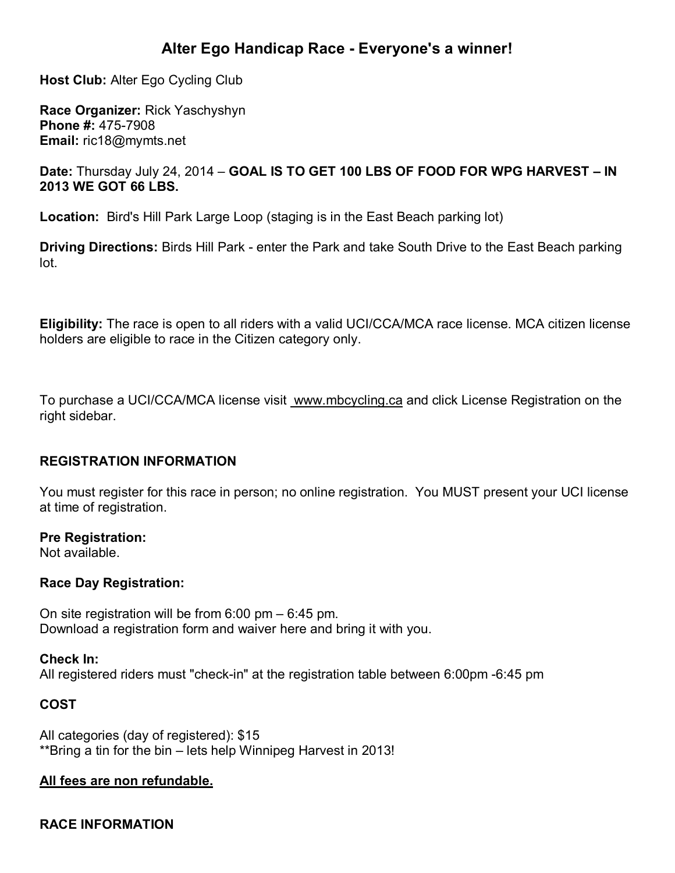# **Alter Ego Handicap Race - Everyone's a winner!**

**Host Club:** Alter Ego Cycling Club

**Race Organizer:** Rick Yaschyshyn **Phone #:** 475-7908 **Email:** ric18@mymts.net

#### **Date:** Thursday July 24, 2014 – **GOAL IS TO GET 100 LBS OF FOOD FOR WPG HARVEST – IN 2013 WE GOT 66 LBS.**

**Location:** Bird's Hill Park Large Loop (staging is in the East Beach parking lot)

**Driving Directions:** Birds Hill Park - enter the Park and take South Drive to the East Beach parking lot.

**Eligibility:** The race is open to all riders with a valid UCI/CCA/MCA race license. MCA citizen license holders are eligible to race in the Citizen category only.

To purchase a UCI/CCA/MCA license visit [www.mbcycling.ca](http://www.mbcycling.ca/) and click License Registration on the right sidebar.

### **REGISTRATION INFORMATION**

You must register for this race in person; no online registration. You MUST present your UCI license at time of registration.

#### **Pre Registration:**

Not available.

#### **Race Day Registration:**

On site registration will be from 6:00 pm – 6:45 pm. Download a registration form and waiver here and bring it with you.

#### **Check In:**

All registered riders must "check-in" at the registration table between 6:00pm -6:45 pm

### **COST**

All categories (day of registered): \$15 \*\*Bring a tin for the bin – lets help Winnipeg Harvest in 2013!

#### **All fees are non refundable.**

### **RACE INFORMATION**